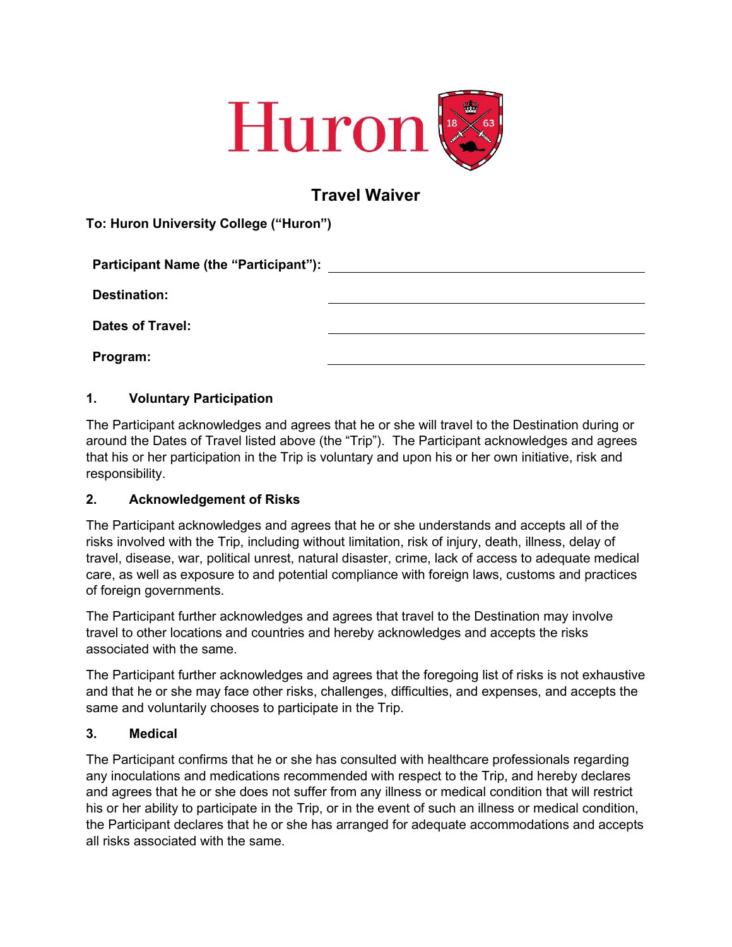

# **Travel Waiver**

**To: Huron University College ("Huron")** 

|                         | Participant Name (the "Participant"): Name (the second second second second second second second second second |
|-------------------------|----------------------------------------------------------------------------------------------------------------|
| <b>Destination:</b>     |                                                                                                                |
| <b>Dates of Travel:</b> |                                                                                                                |
| Program:                |                                                                                                                |

### **1. Voluntary Participation**

The Participant acknowledges and agrees that he or she will travel to the Destination during or around the Dates of Travel listed above (the "Trip"). The Participant acknowledges and agrees that his or her participation in the Trip is voluntary and upon his or her own initiative, risk and responsibility.

#### **2. Acknowledgement of Risks**

The Participant acknowledges and agrees that he or she understands and accepts all of the risks involved with the Trip, including without limitation, risk of injury, death, illness, delay of travel, disease, war, political unrest, natural disaster, crime, lack of access to adequate medical care, as well as exposure to and potential compliance with foreign laws, customs and practices of foreign governments.

The Participant further acknowledges and agrees that travel to the Destination may involve travel to other locations and countries and hereby acknowledges and accepts the risks associated with the same.

The Participant further acknowledges and agrees that the foregoing list of risks is not exhaustive and that he or she may face other risks, challenges, difficulties, and expenses, and accepts the same and voluntarily chooses to participate in the Trip.

#### **3. Medical**

The Participant confirms that he or she has consulted with healthcare professionals regarding any inoculations and medications recommended with respect to the Trip, and hereby declares and agrees that he or she does not suffer from any illness or medical condition that will restrict his or her ability to participate in the Trip, or in the event of such an illness or medical condition, the Participant declares that he or she has arranged for adequate accommodations and accepts all risks associated with the same.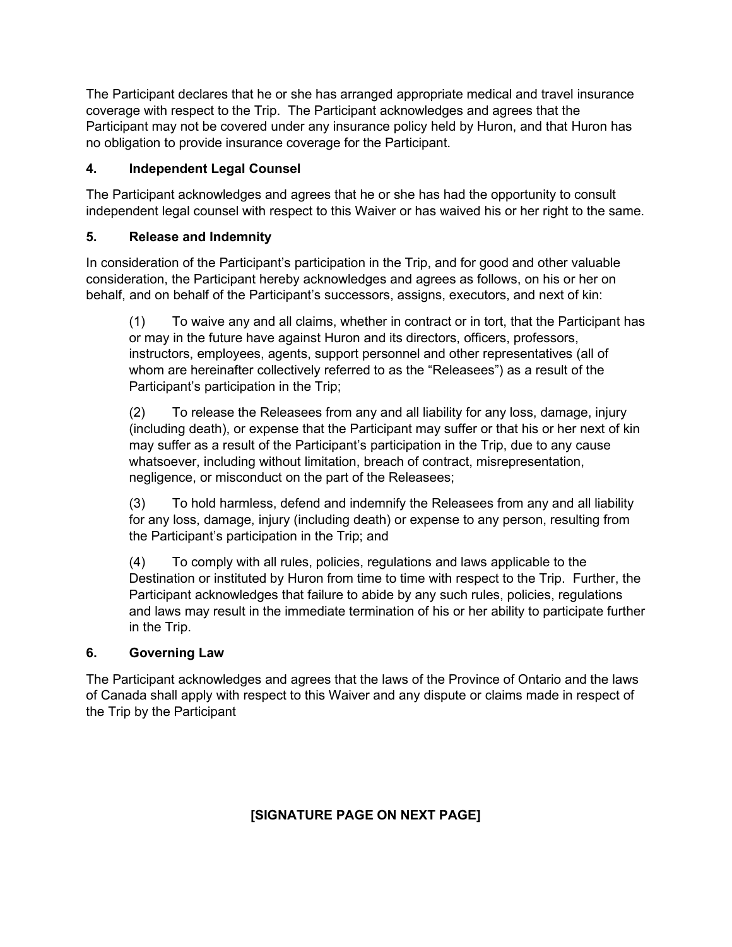The Participant declares that he or she has arranged appropriate medical and travel insurance coverage with respect to the Trip. The Participant acknowledges and agrees that the Participant may not be covered under any insurance policy held by Huron, and that Huron has no obligation to provide insurance coverage for the Participant.

## **4. Independent Legal Counsel**

The Participant acknowledges and agrees that he or she has had the opportunity to consult independent legal counsel with respect to this Waiver or has waived his or her right to the same.

## **5. Release and Indemnity**

In consideration of the Participant's participation in the Trip, and for good and other valuable consideration, the Participant hereby acknowledges and agrees as follows, on his or her on behalf, and on behalf of the Participant's successors, assigns, executors, and next of kin:

(1) To waive any and all claims, whether in contract or in tort, that the Participant has or may in the future have against Huron and its directors, officers, professors, instructors, employees, agents, support personnel and other representatives (all of whom are hereinafter collectively referred to as the "Releasees") as a result of the Participant's participation in the Trip;

(2) To release the Releasees from any and all liability for any loss, damage, injury (including death), or expense that the Participant may suffer or that his or her next of kin may suffer as a result of the Participant's participation in the Trip, due to any cause whatsoever, including without limitation, breach of contract, misrepresentation, negligence, or misconduct on the part of the Releasees;

(3) To hold harmless, defend and indemnify the Releasees from any and all liability for any loss, damage, injury (including death) or expense to any person, resulting from the Participant's participation in the Trip; and

(4) To comply with all rules, policies, regulations and laws applicable to the Destination or instituted by Huron from time to time with respect to the Trip. Further, the Participant acknowledges that failure to abide by any such rules, policies, regulations and laws may result in the immediate termination of his or her ability to participate further in the Trip.

## **6. Governing Law**

The Participant acknowledges and agrees that the laws of the Province of Ontario and the laws of Canada shall apply with respect to this Waiver and any dispute or claims made in respect of the Trip by the Participant

## **[SIGNATURE PAGE ON NEXT PAGE]**